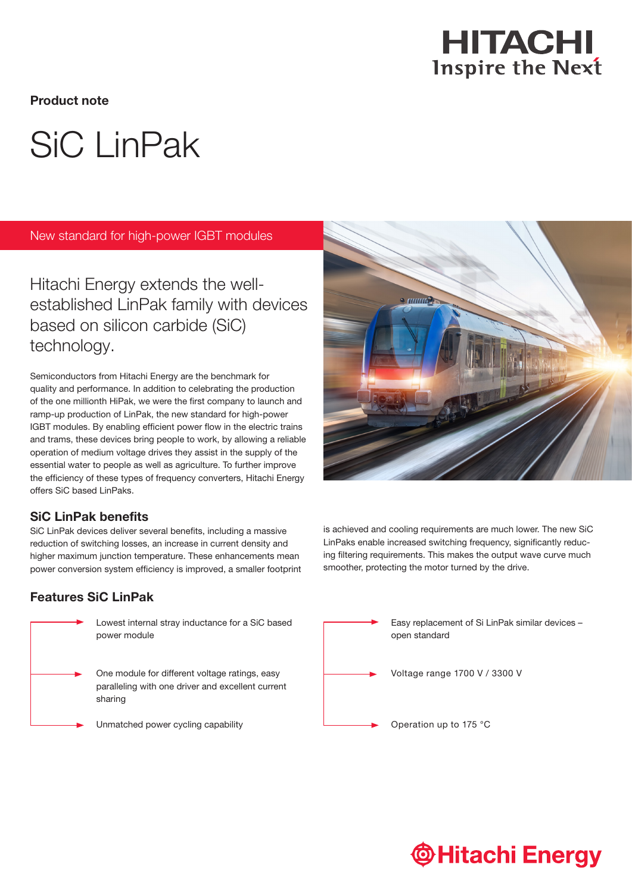

Product note

# SiC LinPak

New standard for high-power IGBT modules

Hitachi Energy extends the wellestablished LinPak family with devices based on silicon carbide (SiC) technology.

Semiconductors from Hitachi Energy are the benchmark for quality and performance. In addition to celebrating the production of the one millionth HiPak, we were the first company to launch and ramp-up production of LinPak, the new standard for high-power IGBT modules. By enabling efficient power flow in the electric trains and trams, these devices bring people to work, by allowing a reliable operation of medium voltage drives they assist in the supply of the essential water to people as well as agriculture. To further improve the efficiency of these types of frequency converters, Hitachi Energy offers SiC based LinPaks.

## SiC LinPak benefits

SiC LinPak devices deliver several benefits, including a massive reduction of switching losses, an increase in current density and higher maximum junction temperature. These enhancements mean power conversion system efficiency is improved, a smaller footprint

# Features SiC LinPak



Lowest internal stray inductance for a SiC based power module

One module for different voltage ratings, easy paralleling with one driver and excellent current sharing

Unmatched power cycling capability



is achieved and cooling requirements are much lower. The new SiC LinPaks enable increased switching frequency, significantly reducing filtering requirements. This makes the output wave curve much smoother, protecting the motor turned by the drive.